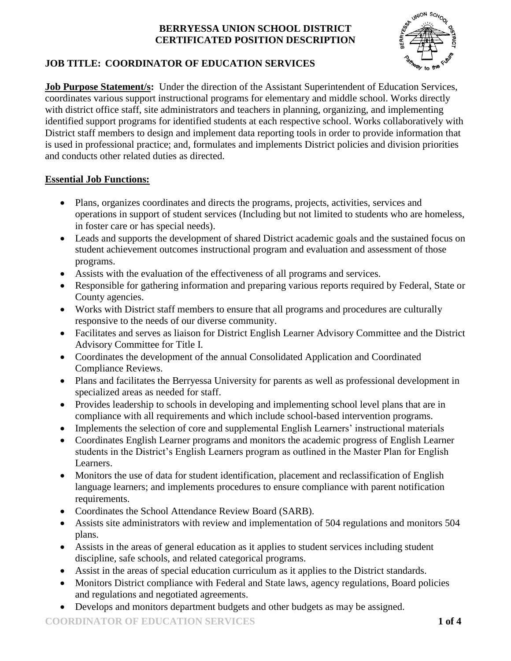

# **JOB TITLE: COORDINATOR OF EDUCATION SERVICES**

**Job Purpose Statement/s:** Under the direction of the Assistant Superintendent of Education Services, coordinates various support instructional programs for elementary and middle school. Works directly with district office staff, site administrators and teachers in planning, organizing, and implementing identified support programs for identified students at each respective school. Works collaboratively with District staff members to design and implement data reporting tools in order to provide information that is used in professional practice; and, formulates and implements District policies and division priorities and conducts other related duties as directed.

## **Essential Job Functions:**

- Plans, organizes coordinates and directs the programs, projects, activities, services and operations in support of student services (Including but not limited to students who are homeless, in foster care or has special needs).
- Leads and supports the development of shared District academic goals and the sustained focus on student achievement outcomes instructional program and evaluation and assessment of those programs.
- Assists with the evaluation of the effectiveness of all programs and services.
- Responsible for gathering information and preparing various reports required by Federal, State or County agencies.
- Works with District staff members to ensure that all programs and procedures are culturally responsive to the needs of our diverse community.
- Facilitates and serves as liaison for District English Learner Advisory Committee and the District Advisory Committee for Title I.
- Coordinates the development of the annual Consolidated Application and Coordinated Compliance Reviews.
- Plans and facilitates the Berryessa University for parents as well as professional development in specialized areas as needed for staff.
- Provides leadership to schools in developing and implementing school level plans that are in compliance with all requirements and which include school-based intervention programs.
- Implements the selection of core and supplemental English Learners' instructional materials
- Coordinates English Learner programs and monitors the academic progress of English Learner students in the District's English Learners program as outlined in the Master Plan for English Learners.
- Monitors the use of data for student identification, placement and reclassification of English language learners; and implements procedures to ensure compliance with parent notification requirements.
- Coordinates the School Attendance Review Board (SARB).
- Assists site administrators with review and implementation of 504 regulations and monitors 504 plans.
- Assists in the areas of general education as it applies to student services including student discipline, safe schools, and related categorical programs.
- Assist in the areas of special education curriculum as it applies to the District standards.
- Monitors District compliance with Federal and State laws, agency regulations, Board policies and regulations and negotiated agreements.
- Develops and monitors department budgets and other budgets as may be assigned.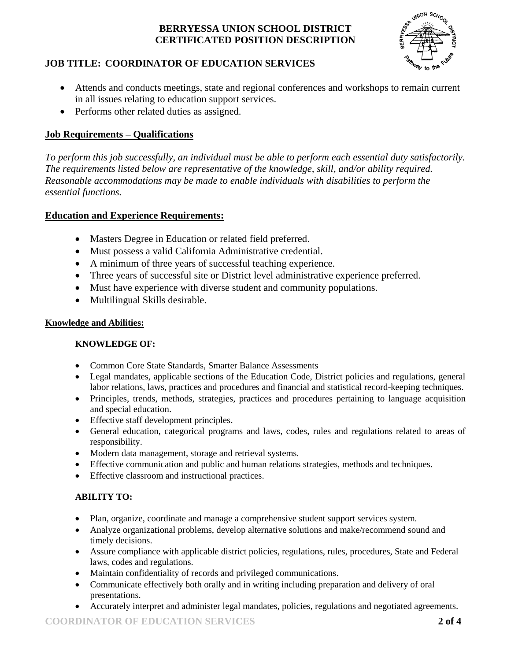

## **JOB TITLE: COORDINATOR OF EDUCATION SERVICES**

- Attends and conducts meetings, state and regional conferences and workshops to remain current in all issues relating to education support services.
- Performs other related duties as assigned.

### **Job Requirements – Qualifications**

*To perform this job successfully, an individual must be able to perform each essential duty satisfactorily. The requirements listed below are representative of the knowledge, skill, and/or ability required. Reasonable accommodations may be made to enable individuals with disabilities to perform the essential functions.*

## **Education and Experience Requirements:**

- Masters Degree in Education or related field preferred.
- Must possess a valid California Administrative credential.
- A minimum of three years of successful teaching experience.
- Three years of successful site or District level administrative experience preferred.
- Must have experience with diverse student and community populations.
- Multilingual Skills desirable.

#### **Knowledge and Abilities:**

#### **KNOWLEDGE OF:**

- Common Core State Standards, Smarter Balance Assessments
- Legal mandates, applicable sections of the Education Code, District policies and regulations, general labor relations, laws, practices and procedures and financial and statistical record-keeping techniques.
- Principles, trends, methods, strategies, practices and procedures pertaining to language acquisition and special education.
- Effective staff development principles.
- General education, categorical programs and laws, codes, rules and regulations related to areas of responsibility.
- Modern data management, storage and retrieval systems.
- Effective communication and public and human relations strategies, methods and techniques.
- Effective classroom and instructional practices.

#### **ABILITY TO:**

- Plan, organize, coordinate and manage a comprehensive student support services system.
- Analyze organizational problems, develop alternative solutions and make/recommend sound and timely decisions.
- Assure compliance with applicable district policies, regulations, rules, procedures, State and Federal laws, codes and regulations.
- Maintain confidentiality of records and privileged communications.
- Communicate effectively both orally and in writing including preparation and delivery of oral presentations.
- Accurately interpret and administer legal mandates, policies, regulations and negotiated agreements.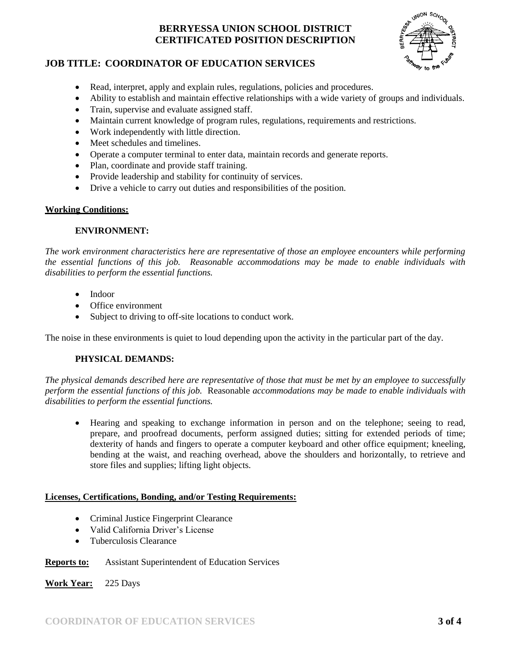

#### **JOB TITLE: COORDINATOR OF EDUCATION SERVICES**

- Read, interpret, apply and explain rules, regulations, policies and procedures.
- Ability to establish and maintain effective relationships with a wide variety of groups and individuals.
- Train, supervise and evaluate assigned staff.
- Maintain current knowledge of program rules, regulations, requirements and restrictions.
- Work independently with little direction.
- Meet schedules and timelines.
- Operate a computer terminal to enter data, maintain records and generate reports.
- Plan, coordinate and provide staff training.
- Provide leadership and stability for continuity of services.
- Drive a vehicle to carry out duties and responsibilities of the position.

#### **Working Conditions:**

#### **ENVIRONMENT:**

*The work environment characteristics here are representative of those an employee encounters while performing the essential functions of this job. Reasonable accommodations may be made to enable individuals with disabilities to perform the essential functions.*

- Indoor
- Office environment
- Subject to driving to off-site locations to conduct work.

The noise in these environments is quiet to loud depending upon the activity in the particular part of the day.

#### **PHYSICAL DEMANDS:**

*The physical demands described here are representative of those that must be met by an employee to successfully perform the essential functions of this job.* Reasonable *accommodations may be made to enable individuals with disabilities to perform the essential functions.*

 Hearing and speaking to exchange information in person and on the telephone; seeing to read, prepare, and proofread documents, perform assigned duties; sitting for extended periods of time; dexterity of hands and fingers to operate a computer keyboard and other office equipment; kneeling, bending at the waist, and reaching overhead, above the shoulders and horizontally, to retrieve and store files and supplies; lifting light objects.

#### **Licenses, Certifications, Bonding, and/or Testing Requirements:**

- Criminal Justice Fingerprint Clearance
- Valid California Driver's License
- Tuberculosis Clearance

#### **Reports to:** Assistant Superintendent of Education Services

**Work Year:** 225 Days